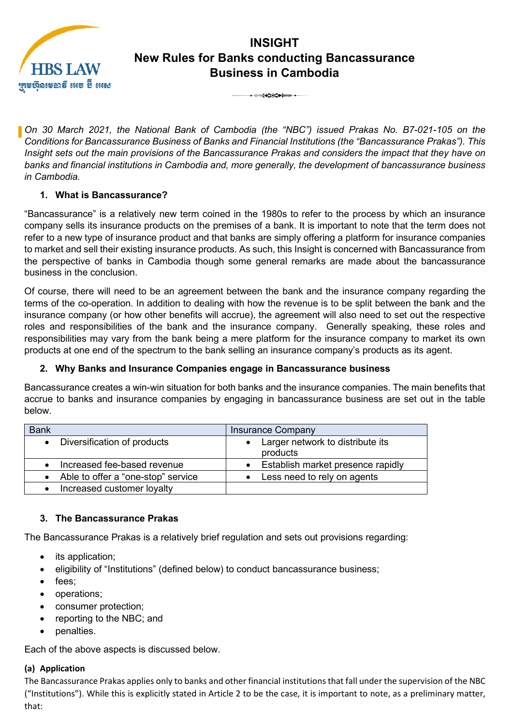

# **INSIGHT New Rules for Banks conducting Bancassurance Business in Cambodia** 3

*On 30 March 2021, the National Bank of Cambodia (the "NBC") issued Prakas No. B7-021-105 on the Conditions for Bancassurance Business of Banks and Financial Institutions (the "Bancassurance Prakas"). This Insight sets out the main provisions of the Bancassurance Prakas and considers the impact that they have on banks and financial institutions in Cambodia and, more generally, the development of bancassurance business in Cambodia.*

#### **1. What is Bancassurance?**

"Bancassurance" is a relatively new term coined in the 1980s to refer to the process by which an insurance company sells its insurance products on the premises of a bank. It is important to note that the term does not refer to a new type of insurance product and that banks are simply offering a platform for insurance companies to market and sell their existing insurance products. As such, this Insight is concerned with Bancassurance from the perspective of banks in Cambodia though some general remarks are made about the bancassurance business in the conclusion.

Of course, there will need to be an agreement between the bank and the insurance company regarding the terms of the co-operation. In addition to dealing with how the revenue is to be split between the bank and the insurance company (or how other benefits will accrue), the agreement will also need to set out the respective roles and responsibilities of the bank and the insurance company. Generally speaking, these roles and responsibilities may vary from the bank being a mere platform for the insurance company to market its own products at one end of the spectrum to the bank selling an insurance company's products as its agent.

### **2. Why Banks and Insurance Companies engage in Bancassurance business**

Bancassurance creates a win-win situation for both banks and the insurance companies. The main benefits that accrue to banks and insurance companies by engaging in bancassurance business are set out in the table below.

| <b>Bank</b>                        | <b>Insurance Company</b>                     |
|------------------------------------|----------------------------------------------|
| Diversification of products        | Larger network to distribute its<br>products |
| Increased fee-based revenue        | Establish market presence rapidly            |
| Able to offer a "one-stop" service | Less need to rely on agents                  |
| Increased customer loyalty         |                                              |

#### **3. The Bancassurance Prakas**

The Bancassurance Prakas is a relatively brief regulation and sets out provisions regarding:

- its application;
- eligibility of "Institutions" (defined below) to conduct bancassurance business;
- fees;
- operations;
- consumer protection;
- reporting to the NBC; and
- penalties.

Each of the above aspects is discussed below.

#### **(a) Application**

The Bancassurance Prakas applies only to banks and other financial institutions that fall under the supervision of the NBC ("Institutions"). While this is explicitly stated in Article 2 to be the case, it is important to note, as a preliminary matter, that: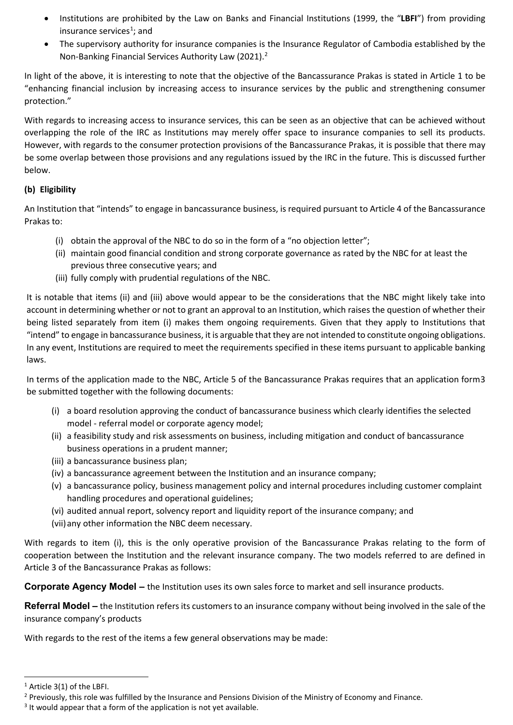- Institutions are prohibited by the Law on Banks and Financial Institutions (1999, the "**LBFI**") from providing insurance services<sup>[1](#page-1-0)</sup>; and
- The supervisory authority for insurance companies is the Insurance Regulator of Cambodia established by the Non-Banking Financial Services Authority Law ([2](#page-1-1)021).<sup>2</sup>

In light of the above, it is interesting to note that the objective of the Bancassurance Prakas is stated in Article 1 to be "enhancing financial inclusion by increasing access to insurance services by the public and strengthening consumer protection."

With regards to increasing access to insurance services, this can be seen as an objective that can be achieved without overlapping the role of the IRC as Institutions may merely offer space to insurance companies to sell its products. However, with regards to the consumer protection provisions of the Bancassurance Prakas, it is possible that there may be some overlap between those provisions and any regulations issued by the IRC in the future. This is discussed further below.

#### **(b) Eligibility**

An Institution that "intends" to engage in bancassurance business, is required pursuant to Article 4 of the Bancassurance Prakas to:

- (i) obtain the approval of the NBC to do so in the form of a "no objection letter";
- (ii) maintain good financial condition and strong corporate governance as rated by the NBC for at least the previous three consecutive years; and
- (iii) fully comply with prudential regulations of the NBC.

It is notable that items (ii) and (iii) above would appear to be the considerations that the NBC might likely take into account in determining whether or not to grant an approval to an Institution, which raises the question of whether their being listed separately from item (i) makes them ongoing requirements. Given that they apply to Institutions that "intend" to engage in bancassurance business, it is arguable that they are not intended to constitute ongoing obligations. In any event, Institutions are required to meet the requirements specified in these items pursuant to applicable banking laws.

In terms of the application made to the NBC, Article 5 of the Bancassurance Prakas requires that an application form[3](#page-1-2) be submitted together with the following documents:

- (i) a board resolution approving the conduct of bancassurance business which clearly identifies the selected model - referral model or corporate agency model;
- (ii) a feasibility study and risk assessments on business, including mitigation and conduct of bancassurance business operations in a prudent manner;
- (iii) a bancassurance business plan;
- (iv) a bancassurance agreement between the Institution and an insurance company;
- (v) a bancassurance policy, business management policy and internal procedures including customer complaint handling procedures and operational guidelines;
- (vi) audited annual report, solvency report and liquidity report of the insurance company; and
- (vii)any other information the NBC deem necessary.

With regards to item (i), this is the only operative provision of the Bancassurance Prakas relating to the form of cooperation between the Institution and the relevant insurance company. The two models referred to are defined in Article 3 of the Bancassurance Prakas as follows:

**Corporate Agency Model –** the Institution uses its own sales force to market and sell insurance products.

**Referral Model –** the Institution refers its customers to an insurance company without being involved in the sale of the insurance company's products

With regards to the rest of the items a few general observations may be made:

<span id="page-1-0"></span><sup>1</sup> Article 3(1) of the LBFI.

<span id="page-1-1"></span><sup>&</sup>lt;sup>2</sup> Previously, this role was fulfilled by the Insurance and Pensions Division of the Ministry of Economy and Finance.

<span id="page-1-2"></span><sup>&</sup>lt;sup>3</sup> It would appear that a form of the application is not yet available.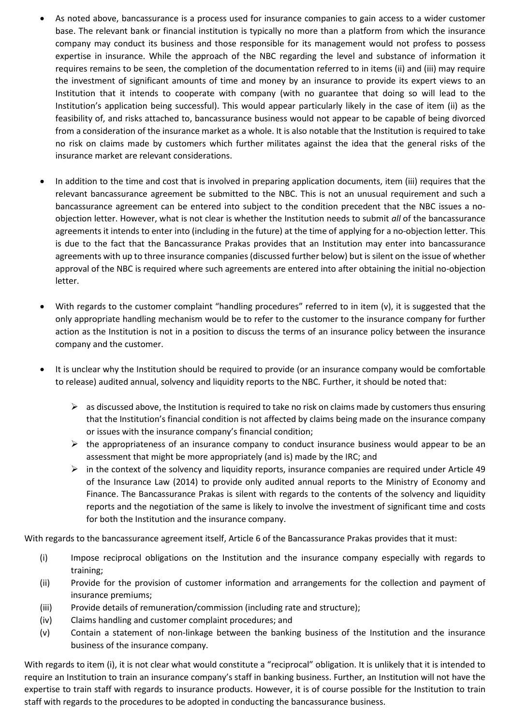- As noted above, bancassurance is a process used for insurance companies to gain access to a wider customer base. The relevant bank or financial institution is typically no more than a platform from which the insurance company may conduct its business and those responsible for its management would not profess to possess expertise in insurance. While the approach of the NBC regarding the level and substance of information it requires remains to be seen, the completion of the documentation referred to in items (ii) and (iii) may require the investment of significant amounts of time and money by an insurance to provide its expert views to an Institution that it intends to cooperate with company (with no guarantee that doing so will lead to the Institution's application being successful). This would appear particularly likely in the case of item (ii) as the feasibility of, and risks attached to, bancassurance business would not appear to be capable of being divorced from a consideration of the insurance market as a whole. It is also notable that the Institution is required to take no risk on claims made by customers which further militates against the idea that the general risks of the insurance market are relevant considerations.
- In addition to the time and cost that is involved in preparing application documents, item (iii) requires that the relevant bancassurance agreement be submitted to the NBC. This is not an unusual requirement and such a bancassurance agreement can be entered into subject to the condition precedent that the NBC issues a noobjection letter. However, what is not clear is whether the Institution needs to submit *all* of the bancassurance agreements it intends to enter into (including in the future) at the time of applying for a no-objection letter. This is due to the fact that the Bancassurance Prakas provides that an Institution may enter into bancassurance agreements with up to three insurance companies (discussed further below) but is silent on the issue of whether approval of the NBC is required where such agreements are entered into after obtaining the initial no-objection letter.
- With regards to the customer complaint "handling procedures" referred to in item (v), it is suggested that the only appropriate handling mechanism would be to refer to the customer to the insurance company for further action as the Institution is not in a position to discuss the terms of an insurance policy between the insurance company and the customer.
- It is unclear why the Institution should be required to provide (or an insurance company would be comfortable to release) audited annual, solvency and liquidity reports to the NBC. Further, it should be noted that:
	- $\triangleright$  as discussed above, the Institution is required to take no risk on claims made by customers thus ensuring that the Institution's financial condition is not affected by claims being made on the insurance company or issues with the insurance company's financial condition;
	- $\triangleright$  the appropriateness of an insurance company to conduct insurance business would appear to be an assessment that might be more appropriately (and is) made by the IRC; and
	- $\triangleright$  in the context of the solvency and liquidity reports, insurance companies are required under Article 49 of the Insurance Law (2014) to provide only audited annual reports to the Ministry of Economy and Finance. The Bancassurance Prakas is silent with regards to the contents of the solvency and liquidity reports and the negotiation of the same is likely to involve the investment of significant time and costs for both the Institution and the insurance company.

With regards to the bancassurance agreement itself, Article 6 of the Bancassurance Prakas provides that it must:

- (i) Impose reciprocal obligations on the Institution and the insurance company especially with regards to training;
- (ii) Provide for the provision of customer information and arrangements for the collection and payment of insurance premiums;
- (iii) Provide details of remuneration/commission (including rate and structure);
- (iv) Claims handling and customer complaint procedures; and
- (v) Contain a statement of non-linkage between the banking business of the Institution and the insurance business of the insurance company.

With regards to item (i), it is not clear what would constitute a "reciprocal" obligation. It is unlikely that it is intended to require an Institution to train an insurance company's staff in banking business. Further, an Institution will not have the expertise to train staff with regards to insurance products. However, it is of course possible for the Institution to train staff with regards to the procedures to be adopted in conducting the bancassurance business.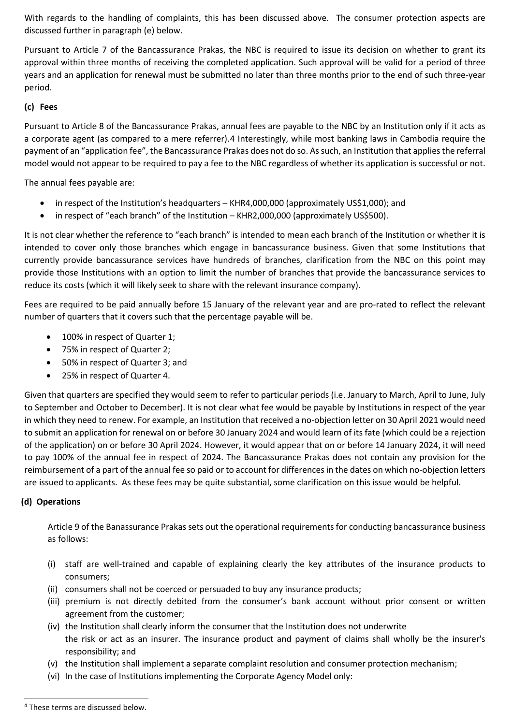With regards to the handling of complaints, this has been discussed above. The consumer protection aspects are discussed further in paragraph (e) below.

Pursuant to Article 7 of the Bancassurance Prakas, the NBC is required to issue its decision on whether to grant its approval within three months of receiving the completed application. Such approval will be valid for a period of three years and an application for renewal must be submitted no later than three months prior to the end of such three-year period.

#### **(c) Fees**

Pursuant to Article 8 of the Bancassurance Prakas, annual fees are payable to the NBC by an Institution only if it acts as a corporate agent (as compared to a mere referrer).[4](#page-3-0) Interestingly, while most banking laws in Cambodia require the payment of an "application fee", the Bancassurance Prakas does not do so. As such, an Institution that applies the referral model would not appear to be required to pay a fee to the NBC regardless of whether its application is successful or not.

The annual fees payable are:

- in respect of the Institution's headquarters KHR4,000,000 (approximately US\$1,000); and
- in respect of "each branch" of the Institution KHR2,000,000 (approximately US\$500).

It is not clear whether the reference to "each branch" is intended to mean each branch of the Institution or whether it is intended to cover only those branches which engage in bancassurance business. Given that some Institutions that currently provide bancassurance services have hundreds of branches, clarification from the NBC on this point may provide those Institutions with an option to limit the number of branches that provide the bancassurance services to reduce its costs (which it will likely seek to share with the relevant insurance company).

Fees are required to be paid annually before 15 January of the relevant year and are pro-rated to reflect the relevant number of quarters that it covers such that the percentage payable will be.

- 100% in respect of Quarter 1;
- 75% in respect of Quarter 2;
- 50% in respect of Quarter 3; and
- 25% in respect of Quarter 4.

Given that quarters are specified they would seem to refer to particular periods (i.e. January to March, April to June, July to September and October to December). It is not clear what fee would be payable by Institutions in respect of the year in which they need to renew. For example, an Institution that received a no-objection letter on 30 April 2021 would need to submit an application for renewal on or before 30 January 2024 and would learn of its fate (which could be a rejection of the application) on or before 30 April 2024. However, it would appear that on or before 14 January 2024, it will need to pay 100% of the annual fee in respect of 2024. The Bancassurance Prakas does not contain any provision for the reimbursement of a part of the annual fee so paid or to account for differences in the dates on which no-objection letters are issued to applicants. As these fees may be quite substantial, some clarification on this issue would be helpful.

#### **(d) Operations**

Article 9 of the Banassurance Prakas sets out the operational requirements for conducting bancassurance business as follows:

- (i) staff are well-trained and capable of explaining clearly the key attributes of the insurance products to consumers;
- (ii) consumers shall not be coerced or persuaded to buy any insurance products;
- (iii) premium is not directly debited from the consumer's bank account without prior consent or written agreement from the customer;
- (iv) the Institution shall clearly inform the consumer that the Institution does not underwrite the risk or act as an insurer. The insurance product and payment of claims shall wholly be the insurer's responsibility; and
- (v) the Institution shall implement a separate complaint resolution and consumer protection mechanism;
- (vi) In the case of Institutions implementing the Corporate Agency Model only:

<span id="page-3-0"></span><sup>4</sup> These terms are discussed below.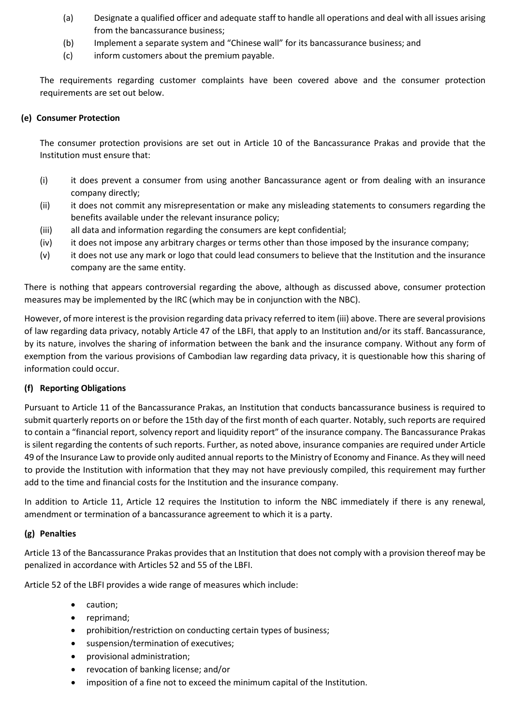- (a) Designate a qualified officer and adequate staff to handle all operations and deal with all issues arising from the bancassurance business;
- (b) Implement a separate system and "Chinese wall" for its bancassurance business; and
- (c) inform customers about the premium payable.

The requirements regarding customer complaints have been covered above and the consumer protection requirements are set out below.

#### **(e) Consumer Protection**

The consumer protection provisions are set out in Article 10 of the Bancassurance Prakas and provide that the Institution must ensure that:

- (i) it does prevent a consumer from using another Bancassurance agent or from dealing with an insurance company directly;
- (ii) it does not commit any misrepresentation or make any misleading statements to consumers regarding the benefits available under the relevant insurance policy;
- (iii) all data and information regarding the consumers are kept confidential;
- (iv) it does not impose any arbitrary charges or terms other than those imposed by the insurance company;
- (v) it does not use any mark or logo that could lead consumers to believe that the Institution and the insurance company are the same entity.

There is nothing that appears controversial regarding the above, although as discussed above, consumer protection measures may be implemented by the IRC (which may be in conjunction with the NBC).

However, of more interest is the provision regarding data privacy referred to item (iii) above. There are several provisions of law regarding data privacy, notably Article 47 of the LBFI, that apply to an Institution and/or its staff. Bancassurance, by its nature, involves the sharing of information between the bank and the insurance company. Without any form of exemption from the various provisions of Cambodian law regarding data privacy, it is questionable how this sharing of information could occur.

#### **(f) Reporting Obligations**

Pursuant to Article 11 of the Bancassurance Prakas, an Institution that conducts bancassurance business is required to submit quarterly reports on or before the 15th day of the first month of each quarter. Notably, such reports are required to contain a "financial report, solvency report and liquidity report" of the insurance company. The Bancassurance Prakas is silent regarding the contents of such reports. Further, as noted above, insurance companies are required under Article 49 of the Insurance Law to provide only audited annual reports to the Ministry of Economy and Finance. As they will need to provide the Institution with information that they may not have previously compiled, this requirement may further add to the time and financial costs for the Institution and the insurance company.

In addition to Article 11, Article 12 requires the Institution to inform the NBC immediately if there is any renewal, amendment or termination of a bancassurance agreement to which it is a party.

#### **(g) Penalties**

Article 13 of the Bancassurance Prakas provides that an Institution that does not comply with a provision thereof may be penalized in accordance with Articles 52 and 55 of the LBFI.

Article 52 of the LBFI provides a wide range of measures which include:

- caution;
- reprimand;
- prohibition/restriction on conducting certain types of business;
- suspension/termination of executives;
- provisional administration;
- revocation of banking license; and/or
- imposition of a fine not to exceed the minimum capital of the Institution.